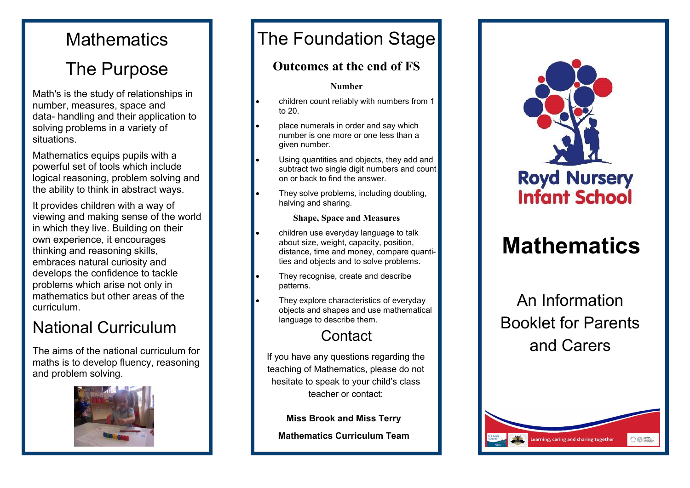## **Mathematics**

# The Purpose

Math's is the study of relationships in number, measures, space and data- handling and their application to solving problems in a variety of situations.

Mathematics equips pupils with a powerful set of tools which include logical reasoning, problem solving and the ability to think in abstract ways.

It provides children with a way of viewing and making sense of the world in which they live. Building on their own experience, it encourages thinking and reasoning skills, embraces natural curiosity and develops the confidence to tackle problems which arise not only in mathematics but other areas of the curriculum.

# National Curriculum

The aims of the national curriculum for maths is to develop fluency, reasoning and problem solving.



## The Foundation Stage

### **Outcomes at the end of FS**

#### **Number**

- children count reliably with numbers from 1 to 20.
- place numerals in order and say which number is one more or one less than a given number.
- Using quantities and objects, they add and subtract two single digit numbers and count on or back to find the answer.
- They solve problems, including doubling, halving and sharing.

#### **Shape, Space and Measures**

- children use everyday language to talk about size, weight, capacity, position, distance, time and money, compare quantities and objects and to solve problems.
- They recognise, create and describe patterns.
- They explore characteristics of everyday objects and shapes and use mathematical language to describe them.

### **Contact**

If you have any questions regarding the teaching of Mathematics, please do not hesitate to speak to your child's class teacher or contact:

**Miss Brook and Miss Terry**

**Mathematics Curriculum Team**



# **Mathematics**

An Information Booklet for Parents and Carers